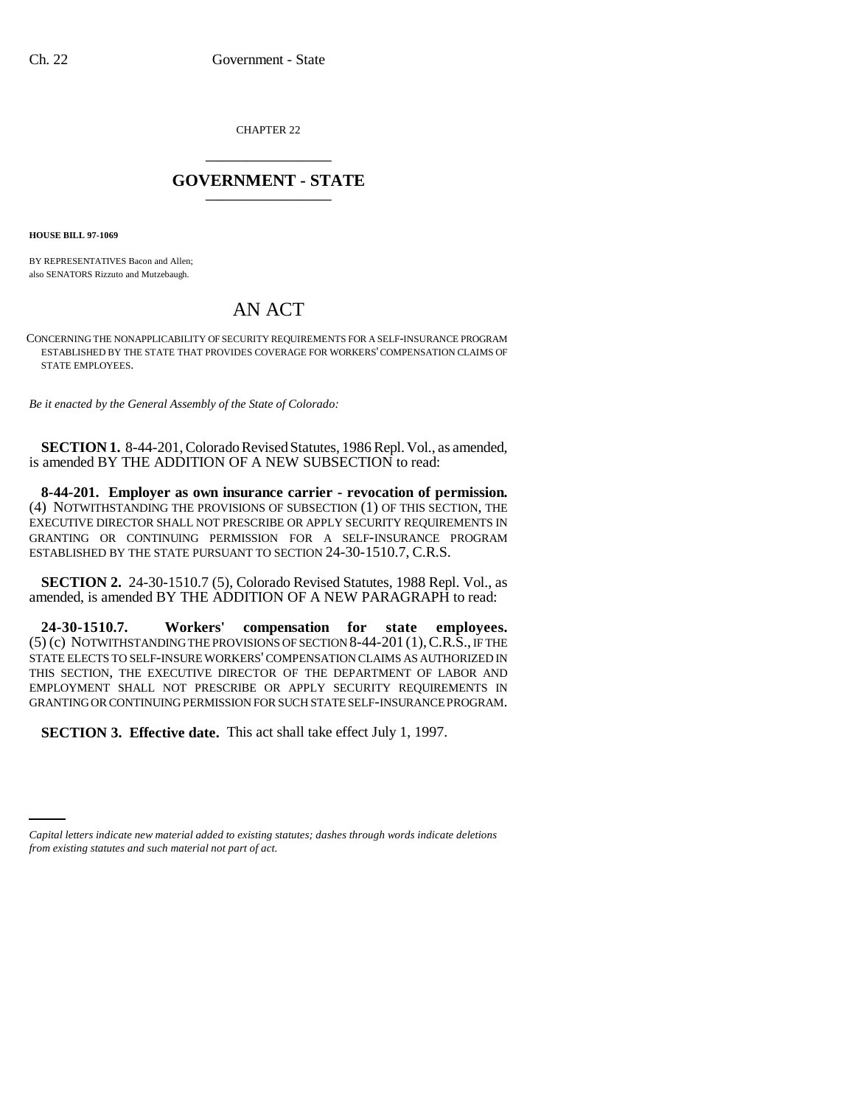CHAPTER 22 \_\_\_\_\_\_\_\_\_\_\_\_\_\_\_

## **GOVERNMENT - STATE** \_\_\_\_\_\_\_\_\_\_\_\_\_\_\_

**HOUSE BILL 97-1069**

BY REPRESENTATIVES Bacon and Allen; also SENATORS Rizzuto and Mutzebaugh.

## AN ACT

CONCERNING THE NONAPPLICABILITY OF SECURITY REQUIREMENTS FOR A SELF-INSURANCE PROGRAM ESTABLISHED BY THE STATE THAT PROVIDES COVERAGE FOR WORKERS' COMPENSATION CLAIMS OF STATE EMPLOYEES.

*Be it enacted by the General Assembly of the State of Colorado:*

**SECTION 1.** 8-44-201, Colorado Revised Statutes, 1986 Repl. Vol., as amended, is amended BY THE ADDITION OF A NEW SUBSECTION to read:

**8-44-201. Employer as own insurance carrier - revocation of permission.** (4) NOTWITHSTANDING THE PROVISIONS OF SUBSECTION (1) OF THIS SECTION, THE EXECUTIVE DIRECTOR SHALL NOT PRESCRIBE OR APPLY SECURITY REQUIREMENTS IN GRANTING OR CONTINUING PERMISSION FOR A SELF-INSURANCE PROGRAM ESTABLISHED BY THE STATE PURSUANT TO SECTION 24-30-1510.7, C.R.S.

**SECTION 2.** 24-30-1510.7 (5), Colorado Revised Statutes, 1988 Repl. Vol., as amended, is amended BY THE ADDITION OF A NEW PARAGRAPH to read:

**24-30-1510.7. Workers' compensation for state employees.** (5) (c) NOTWITHSTANDING THE PROVISIONS OF SECTION 8-44-201 (1),C.R.S., IF THE STATE ELECTS TO SELF-INSURE WORKERS' COMPENSATION CLAIMS AS AUTHORIZED IN THIS SECTION, THE EXECUTIVE DIRECTOR OF THE DEPARTMENT OF LABOR AND EMPLOYMENT SHALL NOT PRESCRIBE OR APPLY SECURITY REQUIREMENTS IN GRANTING OR CONTINUING PERMISSION FOR SUCH STATE SELF-INSURANCE PROGRAM.

**SECTION 3. Effective date.** This act shall take effect July 1, 1997.

*Capital letters indicate new material added to existing statutes; dashes through words indicate deletions from existing statutes and such material not part of act.*